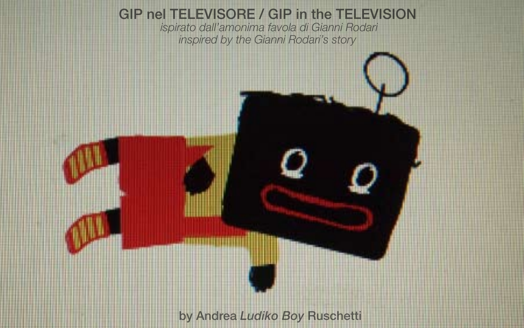GIP nel TELEVISORE / GIP in the TELEVISION *ispirato dall'amonima favola di Gianni Rodari inspired by the Gianni Rodari's story*



by Andrea *Ludiko Boy* Ruschetti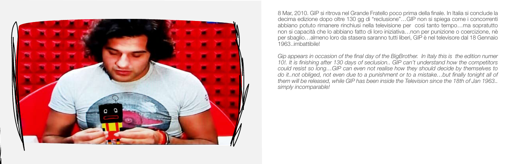

8 Mar, 2010. GIP si ritrova nel Grande Fratello poco prima della finale. In Italia si conclude la decima edizione dopo oltre 130 gg di "reclusione"…GIP non si spiega come i concorrenti abbiano potuto rimanere rinchiusi nella televisione per così tanto tempo…ma sopratutto non si capacità che lo abbiano fatto di loro iniziativa…non per punizione o coercizione, nè per sbaglio…almeno loro da stasera saranno tutti liberi, GIP è nel televisore dal 18 Gennaio 1963..imbattibile!

*Gip appears in occasion of the final day of the BigBrother. In Italy this is the edition numer 10!. It is finishing after 130 days of seclusion.. GIP can't understand how the competitors could resist so long…GIP can even not realise how they should decide by themselves to do it..not obliged, not even due to a punishment or to a mistake…but finally tonight all of them will be released, while GIP has been inside the Television since the 18th of Jan 1963.. simply incomparable!*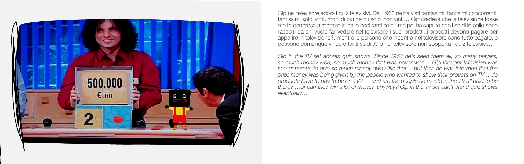

Gip nel televisore adora i quiz televisivi. Dal 1963 ne ha visti tantissimi, tantisimi concorrenti, tantissimi soldi vinti, molti di più però i soldi non vinti….Gip credeva che la televisione fosse molto generosa a mettere in palio così tanti soldi..ma poi ha saputo che i soldi in palio sono raccolti da chi vuole far vedere nel televisore i suoi prodotti..i prodotti devono pagare per apparire in televisione?..mentre le persone che incontra nel televisore sono tutte pagate..o possono comunque vincere tanti soldi..Gip nel televisore non sopporta i quiz televisivi…

*Gip in the TV set adores quiz shows. Since 1963 he's seen them all, so many players, so much money won, so much money that was never won… Gip thought television was soo generous to give so much money away like that… but then he was informed that the prize money was being given by the people who wanted to show their proucts on TV… do products have to pay to be on TV? … and are the people he meets in the TV all paid to be there? …or can they win a lot of money, anyway? Gip in the Tv set can't stand quiz shows eventually…*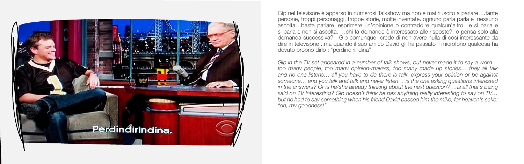

Gip nel televisore è apparso in numerosi Talkshow ma non è mai riuscito a parlare….tante persone, troppi personaggi, troppe storie, molte inventate..ognuno parla parla e nessuno ascolta…basta parlare, esprimere un'opinione o contraddire qualcun'altro…e si parla e si parla e non si ascolta. …chi fa domande è interessato alle risposte? o pensa solo alla domanda successiva? Gip comunque crede di non avere nulla di così interessante da dire in televisone ..ma quando il suo amico David gli ha passato il microfono qualcosa ha dovuto proprio dirlo : "perdindirindina"

*Gip in the TV set appeared in a number of talk shows, but never made it to say a word… too many people, too many opinion-makers, too many made up stories… they all talk and no one listens… all you have to do there is talk, express your opinion or be against someone… and you talk and talk and never listen… is the one asking questions interested in the answers? Or is he/she already thinking about the next question? …is all that's being said on TV interesting? Gip doesn't think he has anything really interesting to say on TV… but he had to say something when his friend David passed him the mike, for heaven's sake: "oh, my goodness!"*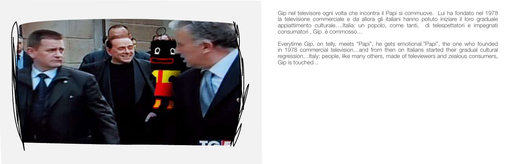

Gip nel televisore ogni volta che incontra il Papi si commuove. Lui ha fondato nel 1978 la televisione commerciale e da allora gli italiani hanno potuto iniziare il loro graduale appiattimento culturale….Italia: un popolo, come tanti, di telespettatori e impegnati consumatori , Gip è commosso…

Everytime Gip, on telly, meets "Papi", he gets emotional."Papi", the one who founded in 1978 commercial television…and from then on Italians started their gradual cultural regression…Italy: people, like many others, made of televiewers and zealous consumers, Gip is touched ..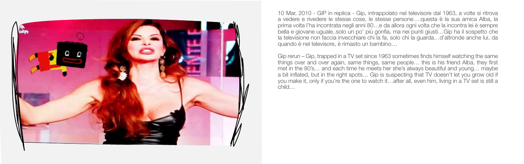

10 Mar, 2010 - GIP in replica - Gip, intrappolato nel televisore dal 1963, a volte si ritrova a vedere e rivedere le stesse cose, le stesse persone….questa è la sua amica Alba, la prima volta l'ha incontrata negli anni 80…e da allora ogni volta che la incontra lei è sempre bella e giovane uguale..solo un po' più gonfia, ma nei punti giusti…Gip ha il sospetto che la televisione non faccia invecchiare chi la fa, solo chi la guarda…d'altronde anche lui, da quando è nel televisore, è rimasto un bambino…

Gip rerun – Gip, trapped in a TV set since 1963 sometimes finds himself watching the same things over and over again, same things, same people… this is his friend Alba, they first met in the 80's… and each time he meets her she's always beautiful and young… maybe a bit inflated, but in the right spots… Gip is suspecting that TV doesn't let you grow old if you make it, only if you're the one to watch it…after all, even him, living in a TV set is still a child…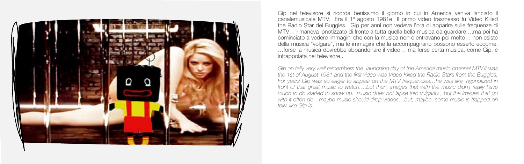

Gip nel televisore si ricorda benissimo il giorno in cui in America veniva lanciato il canalemusicale MTV. Era il 1º agosto 1981e Il primo video trasmesso fu Video Killed the Radio Star dei Buggles. Gip per anni non vedeva l'ora di apparire sulle frequenze di MTV… rimaneva ipnotizzato di fronte a tutta quella bella musica da guardare….ma poi ha cominciato a vedere immagini che con la musica non c'entravano poi molto… non esiste della musica "volgare", ma le immagini che la accompagnano possono esserlo eccome. …forse la musica dovrebbe abbandonare il video… ma forse certa musica, come Gip, è intrappolata nel televisore..

*Gip on telly very well remembers the launching day of the America music channel MTV.It was the 1st of August 1981 and the first video was Video Killed the Radio Stars from the Buggles. For years Gip was so eager to appear on the MTV frequencies…he was like, hypnotized in*  front of that great music to watch....but then, images that with the music didn't really have *much to do started to show up.. music does not lapse into vulgarity , but the images that go with it often do…maybe music should drop videos…but, maybe, some music is trapped on telly..like Gip is..*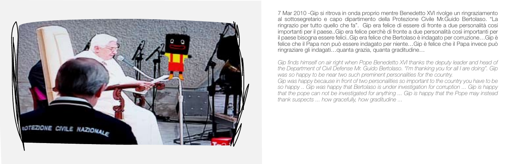

7 Mar 2010 -Gip si ritrova in onda proprio mentre Benedetto XVI rivolge un ringraziamento al sottosegretario e capo dipartimento della Protezione Civile Mr.Guido Bertolaso. "La ringrazio per tutto quello che fa". Gip era felice di essere di fronte a due personalità cosi importanti per il paese..Gip era felice perchè di fronte a due personalità così importanti per il paese bisogna essere felici..Gip era felice che Bertolaso è indagato per corruzione…Gip è felice che il Papa non può essere indagato per niente…Gip è felice che il Papa invece può ringraziare gli indagati…quanta grazia, quanta graditudine…

*Gip finds himself on air right when Pope Benedetto XVI thanks the deputy leader and head of the Department of Civil Defense Mr. Guido Bertolaso. "I'm thanking you for all I are doing". Gip was so happy to be near two such preminent personalities for the country. Gip was happy because in front of two personalities so important to the country you have to be so happy .. Gip was happy that Bertolaso is under investigation for corruption ... Gip is happy that the pope can not be investigated for anything ... Gip is happy that the Pope may instead thank suspects ... how gracefully, how graditudine ...*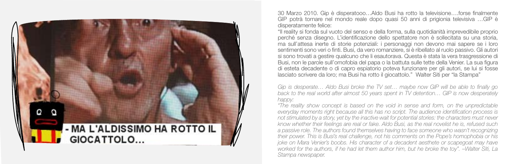

30 Marzo 2010. Gip è disperatooo…Aldo Busi ha rotto la televisione….forse finalmente GIP potrà tornare nel mondo reale dopo quasi 50 anni di prigionia televisiva …GIP è disperatamente felice:

"Il reality si fonda sul vuoto del senso e della forma, sulla quotidianità imprevedibile proprio perché senza disegno. L'identificazione dello spettatore non è sollecitata su una storia, ma sull'attesa inerte di storie potenziali: i personaggi non devono mai sapere se i loro sentimenti sono veri o finti. Busi, da vero romanziere, si è ribellato al ruolo passivo. Gli autori si sono trovati a gestire qualcuno che li esautorava. Questa è stata la vera trasgressione di Busi, non le parole sull'omofobia del papa o la battuta sulle tette della Venier. La sua figura di esteta decadente o di capro espiatorio poteva funzionare per gli autori, se lui si fosse lasciato scrivere da loro; ma Busi ha rotto il giocattolo." Walter Siti per "la Stampa"

*Gip is desperate… Aldo Busi broke the TV set… maybe now GIP will be able to finally go back to the real world after almost 50 years spent in TV detention… GIP is now desperately happy:* 

*"The reality show concept is based on the void in sense and form, on the unpredictable everyday moments right because all this has no script. The audience identification process is not stimulated by a story, yet by the inactive wait for potential stories: the characters must never know whether their feelings are real or fake. Aldo Busi, as the real novelist he is, refused such a passive role. The authors found themselves having to face someone who wasn't recognizing their power. This is Busi's real challenge, not his comments on the Pope's homophobia or his joke on Mara Venier's boobs. His character of a decadent aesthete or scapegoat may have worked for the authors, if he had let them author him, but he broke the toy". –Walter Siti, La Stampa newspaper.*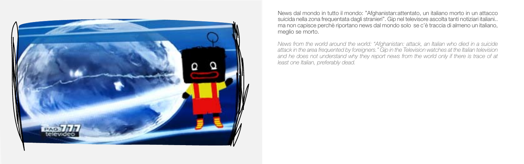

News dal mondo in tutto il mondo: "Afghanistan:attentato, un italiano morto in un attacco suicida nella zona frequentata dagli stranieri". Gip nel televisore ascolta tanti notiziari italiani.. ma non capisce perchè riportano news dal mondo solo se c'è traccia di almeno un italiano, meglio se morto.

*News from the world around the world: "Afghanistan: attack, an Italian who died in a suicide attack in the area frequented by foreigners." Gip in the Television watches at the Italian television and he does not understand why they report news from the world only if there is trace of at least one Italian, preferably dead.*